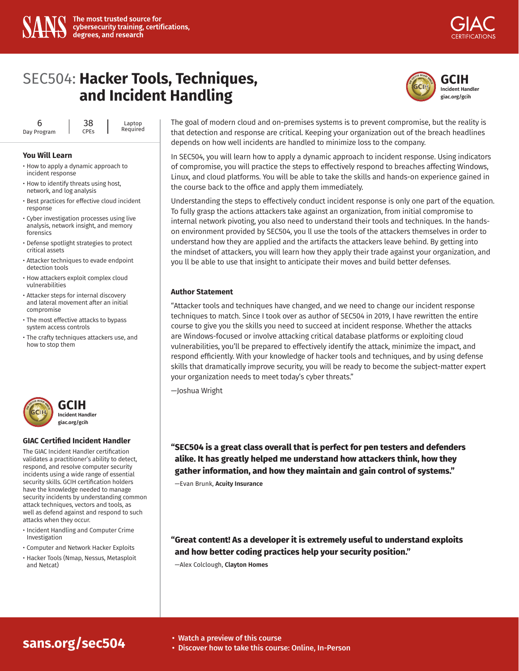

# SEC504: **Hacker Tools, Techniques, and Incident Handling**

| h           | 38                     |  | Laptop<br>Required |
|-------------|------------------------|--|--------------------|
| Day Program | <b>CPE<sub>S</sub></b> |  |                    |

#### **You Will Learn**

- How to apply a dynamic approach to incident response
- How to identify threats using host, network, and log analysis
- Best practices for effective cloud incident response
- Cyber investigation processes using live analysis, network insight, and memory forensics
- Defense spotlight strategies to protect critical assets
- Attacker techniques to evade endpoint detection tools
- How attackers exploit complex cloud vulnerabilities
- Attacker steps for internal discovery and lateral movement after an initial compromise
- The most effective attacks to bypass system access controls
- The crafty techniques attackers use, and how to stop them



#### **GIAC Certified Incident Handler**

The GIAC Incident Handler certification validates a practitioner's ability to detect, respond, and resolve computer security incidents using a wide range of essential security skills. GCIH certification holders have the knowledge needed to manage security incidents by understanding common attack techniques, vectors and tools, as well as defend against and respond to such attacks when they occur.

- Incident Handling and Computer Crime Investigation
- Computer and Network Hacker Exploits
- Hacker Tools (Nmap, Nessus, Metasploit and Netcat)



The goal of modern cloud and on-premises systems is to prevent compromise, but the reality is that detection and response are critical. Keeping your organization out of the breach headlines depends on how well incidents are handled to minimize loss to the company.

In SEC504, you will learn how to apply a dynamic approach to incident response. Using indicators of compromise, you will practice the steps to effectively respond to breaches affecting Windows, Linux, and cloud platforms. You will be able to take the skills and hands-on experience gained in the course back to the office and apply them immediately.

Understanding the steps to effectively conduct incident response is only one part of the equation. To fully grasp the actions attackers take against an organization, from initial compromise to internal network pivoting, you also need to understand their tools and techniques. In the handson environment provided by SEC504, you ll use the tools of the attackers themselves in order to understand how they are applied and the artifacts the attackers leave behind. By getting into the mindset of attackers, you will learn how they apply their trade against your organization, and you ll be able to use that insight to anticipate their moves and build better defenses.

## **Author Statement**

"Attacker tools and techniques have changed, and we need to change our incident response techniques to match. Since I took over as author of SEC504 in 2019, I have rewritten the entire course to give you the skills you need to succeed at incident response. Whether the attacks are Windows-focused or involve attacking critical database platforms or exploiting cloud vulnerabilities, you'll be prepared to effectively identify the attack, minimize the impact, and respond efficiently. With your knowledge of hacker tools and techniques, and by using defense skills that dramatically improve security, you will be ready to become the subject-matter expert your organization needs to meet today's cyber threats."

—Joshua Wright

**"SEC504 is a great class overall that is perfect for pen testers and defenders alike. It has greatly helped me understand how attackers think, how they gather information, and how they maintain and gain control of systems."** 

—Evan Brunk, **Acuity Insurance**

**"Great content! As a developer it is extremely useful to understand exploits and how better coding practices help your security position."** 

—Alex Colclough, **Clayton Homes**

# **[sans.org/sec504](https://www.sans.org/cyber-security-courses/hacker-techniques-exploits-incident-handling/)** • Watch a preview of this course

- 
- Discover how to take this course: Online, In-Person